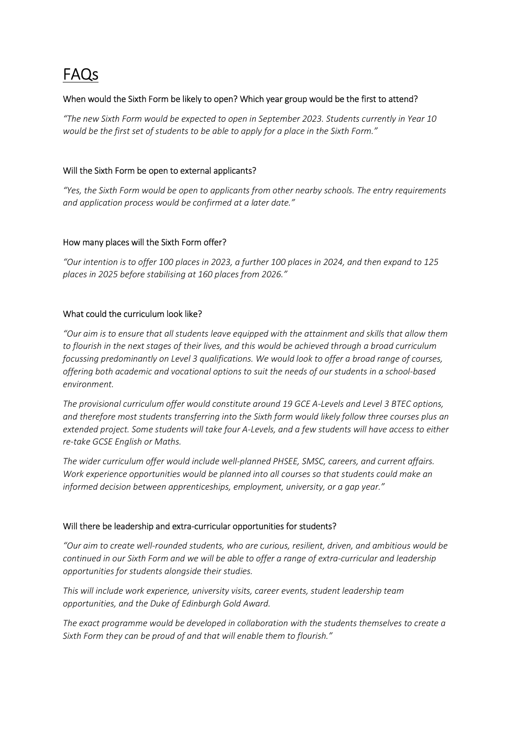# FAQs

## When would the Sixth Form be likely to open? Which year group would be the first to attend?

"The new Sixth Form would be expected to open in September 2023. Students currently in Year 10 would be the first set of students to be able to apply for a place in the Sixth Form."

#### Will the Sixth Form be open to external applicants?

"Yes, the Sixth Form would be open to applicants from other nearby schools. The entry requirements and application process would be confirmed at a later date."

#### How many places will the Sixth Form offer?

"Our intention is to offer 100 places in 2023, a further 100 places in 2024, and then expand to 125 places in 2025 before stabilising at 160 places from 2026."

#### What could the curriculum look like?

"Our aim is to ensure that all students leave equipped with the attainment and skills that allow them to flourish in the next stages of their lives, and this would be achieved through a broad curriculum focussing predominantly on Level 3 qualifications. We would look to offer a broad range of courses, offering both academic and vocational options to suit the needs of our students in a school-based environment.

The provisional curriculum offer would constitute around 19 GCE A-Levels and Level 3 BTEC options, and therefore most students transferring into the Sixth form would likely follow three courses plus an extended project. Some students will take four A-Levels, and a few students will have access to either re-take GCSE English or Maths.

The wider curriculum offer would include well-planned PHSEE, SMSC, careers, and current affairs. Work experience opportunities would be planned into all courses so that students could make an informed decision between apprenticeships, employment, university, or a gap year."

#### Will there be leadership and extra-curricular opportunities for students?

"Our aim to create well-rounded students, who are curious, resilient, driven, and ambitious would be continued in our Sixth Form and we will be able to offer a range of extra-curricular and leadership opportunities for students alongside their studies.

This will include work experience, university visits, career events, student leadership team opportunities, and the Duke of Edinburgh Gold Award.

The exact programme would be developed in collaboration with the students themselves to create a Sixth Form they can be proud of and that will enable them to flourish."